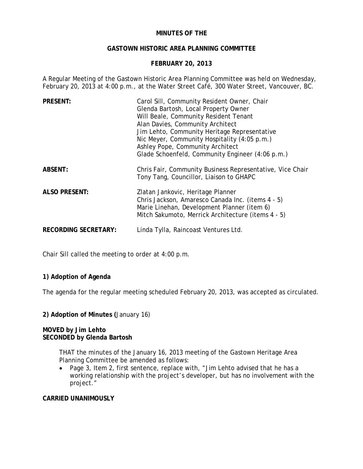## **MINUTES OF THE**

## **GASTOWN HISTORIC AREA PLANNING COMMITTEE**

## **FEBRUARY 20, 2013**

A Regular Meeting of the Gastown Historic Area Planning Committee was held on Wednesday, February 20, 2013 at 4:00 p.m., at the Water Street Café, 300 Water Street, Vancouver, BC.

| <b>PRESENT:</b>             | Carol Sill, Community Resident Owner, Chair<br>Glenda Bartosh, Local Property Owner<br>Will Beale, Community Resident Tenant<br>Alan Davies, Community Architect<br>Jim Lehto, Community Heritage Representative<br>Nic Meyer, Community Hospitality (4:05 p.m.)<br>Ashley Pope, Community Architect<br>Glade Schoenfeld, Community Engineer (4:06 p.m.) |
|-----------------------------|----------------------------------------------------------------------------------------------------------------------------------------------------------------------------------------------------------------------------------------------------------------------------------------------------------------------------------------------------------|
| ABSENT:                     | Chris Fair, Community Business Representative, Vice Chair<br>Tony Tang, Councillor, Liaison to GHAPC                                                                                                                                                                                                                                                     |
| <b>ALSO PRESENT:</b>        | Zlatan Jankovic, Heritage Planner<br>Chris Jackson, Amaresco Canada Inc. (items 4 - 5)<br>Marie Linehan, Development Planner (item 6)<br>Mitch Sakumoto, Merrick Architecture (items 4 - 5)                                                                                                                                                              |
| <b>RECORDING SECRETARY:</b> | Linda Tylla, Raincoast Ventures Ltd.                                                                                                                                                                                                                                                                                                                     |

Chair Sill called the meeting to order at 4:00 p.m.

# **1) Adoption of Agenda**

The agenda for the regular meeting scheduled February 20, 2013, was accepted as circulated.

**2) Adoption of Minutes (**January 16)

## **MOVED by Jim Lehto SECONDED by Glenda Bartosh**

THAT the minutes of the January 16, 2013 meeting of the Gastown Heritage Area Planning Committee be amended as follows:

• Page 3, Item 2, first sentence, replace with, "Jim Lehto advised that he has a working relationship with the project's developer, but has no involvement with the project."

**CARRIED UNANIMOUSLY**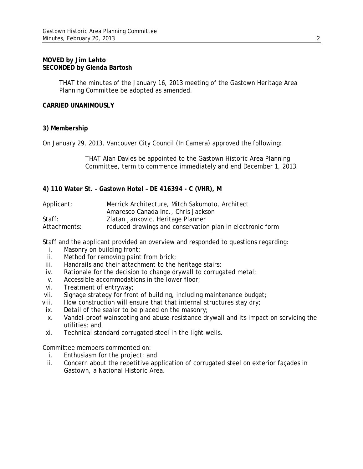### **MOVED by Jim Lehto SECONDED by Glenda Bartosh**

THAT the minutes of the January 16, 2013 meeting of the Gastown Heritage Area Planning Committee be adopted as amended.

## **CARRIED UNANIMOUSLY**

## **3) Membership**

On January 29, 2013, Vancouver City Council (In Camera) approved the following:

THAT Alan Davies be appointed to the Gastown Historic Area Planning Committee, term to commence immediately and end December 1, 2013.

## **4) 110 Water St. – Gastown Hotel – DE 416394 - C (VHR), M**

| Applicant:   | Merrick Architecture, Mitch Sakumoto, Architect           |
|--------------|-----------------------------------------------------------|
|              | Amaresco Canada Inc., Chris Jackson                       |
| Staff:       | Zlatan Jankovic, Heritage Planner                         |
| Attachments: | reduced drawings and conservation plan in electronic form |

Staff and the applicant provided an overview and responded to questions regarding:

- i. Masonry on building front;
- ii. Method for removing paint from brick;
- iii. Handrails and their attachment to the heritage stairs;
- iv. Rationale for the decision to change drywall to corrugated metal;
- v. Accessible accommodations in the lower floor;
- vi. Treatment of entryway;
- vii. Signage strategy for front of building, including maintenance budget;
- viii. How construction will ensure that that internal structures stay dry;
- ix. Detail of the sealer to be placed on the masonry;
- x. Vandal-proof wainscoting and abuse-resistance drywall and its impact on servicing the utilities; and
- xi. Technical standard corrugated steel in the light wells.

Committee members commented on:

- i. Enthusiasm for the project; and
- ii. Concern about the repetitive application of corrugated steel on exterior façades in Gastown, a National Historic Area.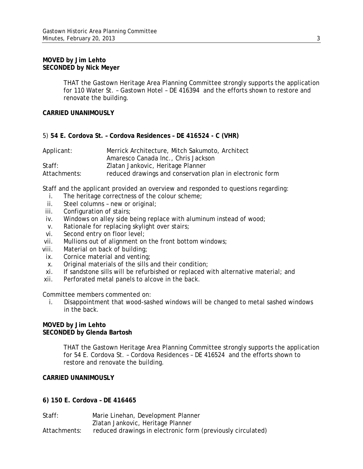### **MOVED by Jim Lehto SECONDED by Nick Meyer**

THAT the Gastown Heritage Area Planning Committee strongly supports the application for 110 Water St. – Gastown Hotel – DE 416394 and the efforts shown to restore and renovate the building.

### **CARRIED UNANIMOUSLY**

## 5) **54 E. Cordova St. – Cordova Residences – DE 416524 - C (VHR)**

| Applicant:   | Merrick Architecture, Mitch Sakumoto, Architect           |
|--------------|-----------------------------------------------------------|
|              | Amaresco Canada Inc., Chris Jackson                       |
| Staff:       | Zlatan Jankovic, Heritage Planner                         |
| Attachments: | reduced drawings and conservation plan in electronic form |

Staff and the applicant provided an overview and responded to questions regarding:

- i. The heritage correctness of the colour scheme;
- ii. Steel columns new or original;
- iii. Configuration of stairs;
- iv. Windows on alley side being replace with aluminum instead of wood;
- v. Rationale for replacing skylight over stairs;
- vi. Second entry on floor level;
- vii. Mullions out of alignment on the front bottom windows;
- viii. Material on back of building;
- ix. Cornice material and venting;
- x. Original materials of the sills and their condition;
- xi. If sandstone sills will be refurbished or replaced with alternative material; and
- xii. Perforated metal panels to alcove in the back.

Committee members commented on:

i. Disappointment that wood-sashed windows will be changed to metal sashed windows in the back.

## **MOVED by Jim Lehto SECONDED by Glenda Bartosh**

THAT the Gastown Heritage Area Planning Committee strongly supports the application for 54 E. Cordova St. – Cordova Residences – DE 416524 and the efforts shown to restore and renovate the building.

## **CARRIED UNANIMOUSLY**

## **6) 150 E. Cordova – DE 416465**

| Staff:       | Marie Linehan, Development Planner                          |
|--------------|-------------------------------------------------------------|
|              | Zlatan Jankovic, Heritage Planner                           |
| Attachments: | reduced drawings in electronic form (previously circulated) |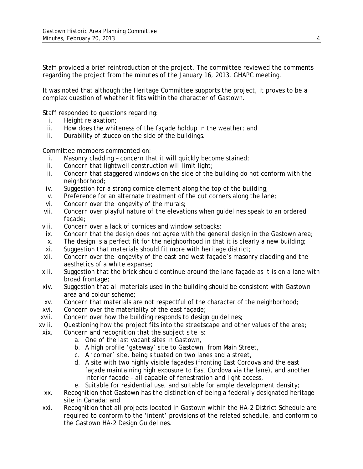Staff provided a brief reintroduction of the project. The committee reviewed the comments regarding the project from the minutes of the January 16, 2013, GHAPC meeting.

It was noted that although the Heritage Committee supports the project, it proves to be a complex question of whether it fits within the character of Gastown.

Staff responded to questions regarding:

- i. Height relaxation;
- ii. How does the whiteness of the façade holdup in the weather; and
- iii. Durability of stucco on the side of the buildings.

Committee members commented on:

- i. Masonry cladding concern that it will quickly become stained;
- ii. Concern that lightwell construction will limit light;
- iii. Concern that staggered windows on the side of the building do not conform with the neighborhood;
- iv. Suggestion for a strong cornice element along the top of the building;
- v. Preference for an alternate treatment of the cut corners along the lane;
- vi. Concern over the longevity of the murals;
- vii. Concern over playful nature of the elevations when guidelines speak to an ordered façade;
- viii. Concern over a lack of cornices and window setbacks;
- ix. Concern that the design does not agree with the general design in the Gastown area;
- x. The design is a perfect fit for the neighborhood in that it is clearly a new building;
- xi. Suggestion that materials should fit more with heritage district;
- xii. Concern over the longevity of the east and west façade's masonry cladding and the aesthetics of a white expanse;
- xiii. Suggestion that the brick should continue around the lane façade as it is on a lane with broad frontage;
- xiv. Suggestion that all materials used in the building should be consistent with Gastown area and colour scheme;
- xv. Concern that materials are not respectful of the character of the neighborhood;
- xvi. Concern over the materiality of the east façade;<br>xvii. Concern over how the building responds to design
- Concern over how the building responds to design guidelines;
- xviii. Questioning how the project fits into the streetscape and other values of the area;
- xix. Concern and recognition that the subject site is:
	- a. One of the last vacant sites in Gastown,
	- b. A high profile 'gateway' site to Gastown, from Main Street,
	- c. A 'corner' site, being situated on two lanes and a street,
	- d. A site with two highly visible façades (fronting East Cordova and the east façade maintaining high exposure to East Cordova via the lane), and another interior façade - all capable of fenestration and light access,
	- e. Suitable for residential use, and suitable for ample development density;
- xx. Recognition that Gastown has the distinction of being a federally designated heritage site in Canada; and
- xxi. Recognition that all projects located in Gastown within the HA-2 District Schedule are required to conform to the 'intent' provisions of the related schedule, and conform to the Gastown HA-2 Design Guidelines.